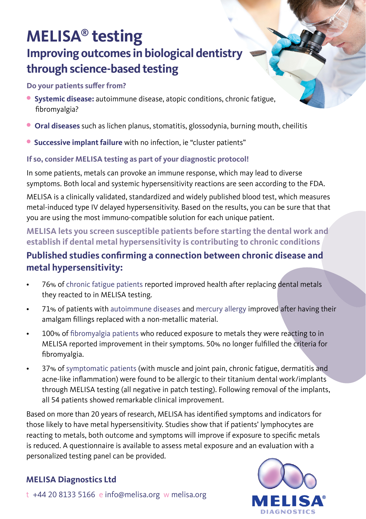# **MELISA® testing Improving outcomes in biological dentistry through science-based testing**

#### **Do your patients suffer from?**

- <sup>l</sup> **Systemic disease:** autoimmune disease, atopic conditions, chronic fatigue, fibromyalgia?
- <sup>l</sup> **Oral diseases** such as lichen planus, stomatitis, glossodynia, burning mouth, cheilitis
- **Successive implant failure** with no infection, ie "cluster patients"

#### **If so, consider MELISA testing as part of your diagnostic protocol!**

In some patients, metals can provoke an immune response, which may lead to diverse symptoms. Both local and systemic hypersensitivity reactions are seen according to the FDA.

MELISA is a clinically validated, standardized and widely published blood test, which measures metal-induced type IV delayed hypersensitivity. Based on the results, you can be sure that that you are using the most immuno-compatible solution for each unique patient.

#### **MELISA lets you screen susceptible patients before starting the dental work and establish if dental metal hypersensitivity is contributing to chronic conditions**

## **Published studies confirming a connection between chronic disease and metal hypersensitivity:**

- 76% of chronic fatigue patients reported improved health after replacing dental metals they reacted to in MELISA testing.
- 71% of patients with autoimmune diseases and mercury allergy improved after having their amalgam fillings replaced with a non-metallic material.
- 100% of fibromyalgia patients who reduced exposure to metals they were reacting to in MELISA reported improvement in their symptoms. 50% no longer fulfilled the criteria for fibromyalgia.
- 37% of symptomatic patients (with muscle and joint pain, chronic fatigue, dermatitis and acne-like inflammation) were found to be allergic to their titanium dental work/implants through MELISA testing (all negative in patch testing). Following removal of the implants, all 54 patients showed remarkable clinical improvement.

Based on more than 20 years of research, MELISA has identified symptoms and indicators for those likely to have metal hypersensitivity. Studies show that if patients' lymphocytes are reacting to metals, both outcome and symptoms will improve if exposure to specific metals is reduced. A questionnaire is available to assess metal exposure and an evaluation with a personalized testing panel can be provided.

### **MELISA Diagnostics Ltd**

t +44 20 8133 5166 e info@melisa.org w melisa.org